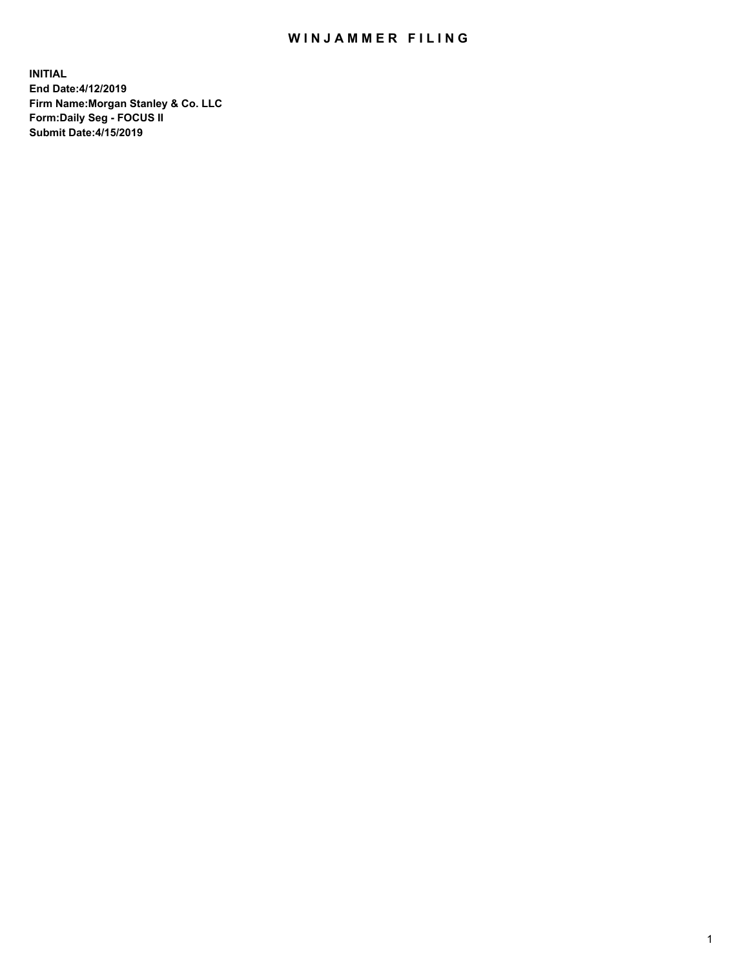## WIN JAMMER FILING

**INITIAL End Date:4/12/2019 Firm Name:Morgan Stanley & Co. LLC Form:Daily Seg - FOCUS II Submit Date:4/15/2019**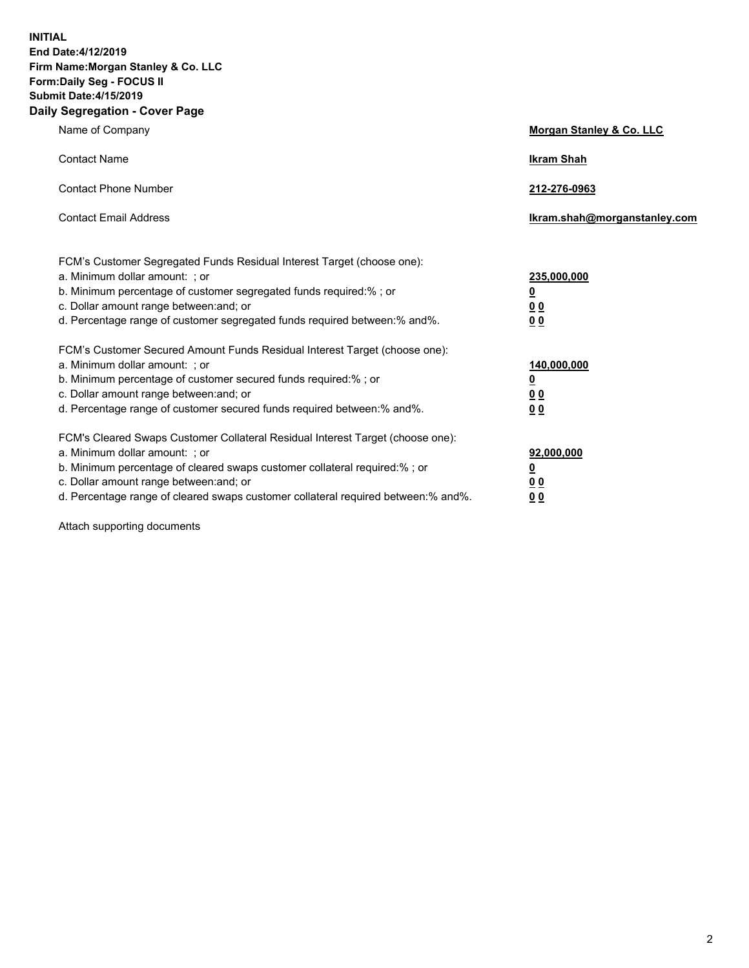**INITIAL End Date:4/12/2019 Firm Name:Morgan Stanley & Co. LLC Form:Daily Seg - FOCUS II Submit Date:4/15/2019 Daily Segregation - Cover Page**

| Name of Company                                                                   | Morgan Stanley & Co. LLC     |
|-----------------------------------------------------------------------------------|------------------------------|
| <b>Contact Name</b>                                                               | <b>Ikram Shah</b>            |
| <b>Contact Phone Number</b>                                                       | 212-276-0963                 |
| <b>Contact Email Address</b>                                                      | Ikram.shah@morganstanley.com |
| FCM's Customer Segregated Funds Residual Interest Target (choose one):            |                              |
| a. Minimum dollar amount: ; or                                                    | 235,000,000                  |
| b. Minimum percentage of customer segregated funds required:% ; or                | <u>0</u>                     |
| c. Dollar amount range between: and; or                                           | <u>0 0</u>                   |
| d. Percentage range of customer segregated funds required between: % and %.       | 00                           |
| FCM's Customer Secured Amount Funds Residual Interest Target (choose one):        |                              |
| a. Minimum dollar amount: ; or                                                    | 140,000,000                  |
| b. Minimum percentage of customer secured funds required:%; or                    | <u>0</u>                     |
| c. Dollar amount range between: and; or                                           | 0 <sub>0</sub>               |
| d. Percentage range of customer secured funds required between:% and%.            | 0 <sub>0</sub>               |
| FCM's Cleared Swaps Customer Collateral Residual Interest Target (choose one):    |                              |
| a. Minimum dollar amount: ; or                                                    | 92,000,000                   |
| b. Minimum percentage of cleared swaps customer collateral required:% ; or        | <u>0</u>                     |
| c. Dollar amount range between: and; or                                           | 0 Q                          |
| d. Percentage range of cleared swaps customer collateral required between:% and%. | 00                           |

Attach supporting documents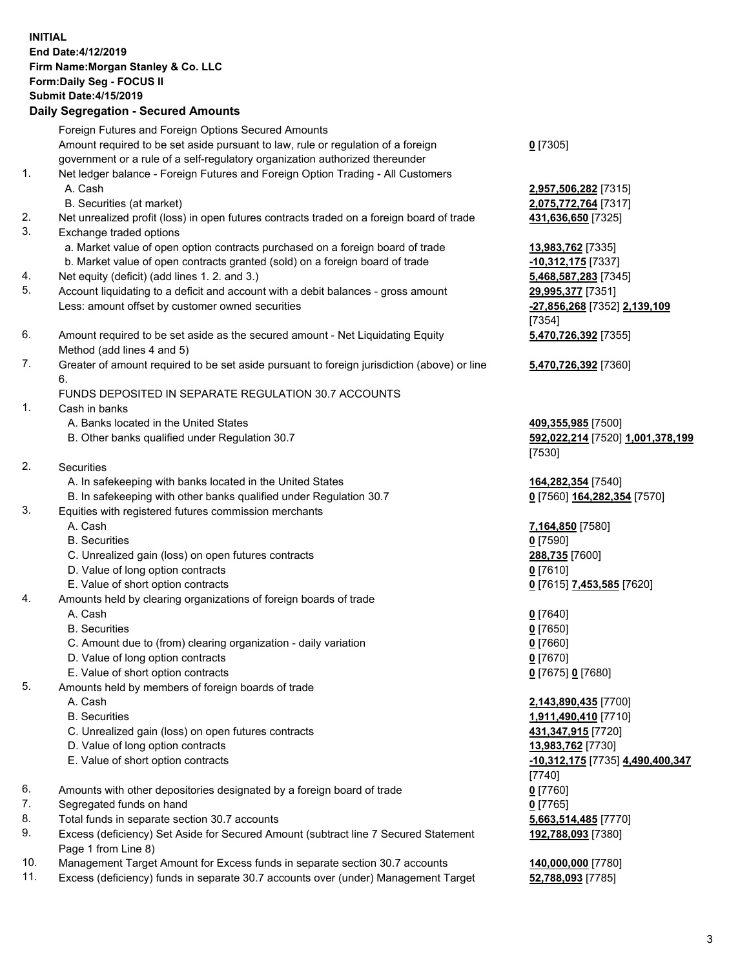## **INITIAL End Date:4/12/2019 Firm Name:Morgan Stanley & Co. LLC Form:Daily Seg - FOCUS II Submit Date:4/15/2019 Daily Segregation - Secured Amounts**

Foreign Futures and Foreign Options Secured Amounts Amount required to be set aside pursuant to law, rule or regulation of a foreign government or a rule of a self-regulatory organization authorized thereunder 1. Net ledger balance - Foreign Futures and Foreign Option Trading - All Customers A. Cash **2,957,506,282** [7315] B. Securities (at market) **2,075,772,764** [7317] 2. Net unrealized profit (loss) in open futures contracts traded on a foreign board of trade **431,636,650** [7325] 3. Exchange traded options a. Market value of open option contracts purchased on a foreign board of trade **13,983,762** [7335] b. Market value of open contracts granted (sold) on a foreign board of trade **-10,312,175** [7337] 4. Net equity (deficit) (add lines 1. 2. and 3.) **5,468,587,283** [7345] 5. Account liquidating to a deficit and account with a debit balances - gross amount **29,995,377** [7351] Less: amount offset by customer owned securities **-27,856,268** [7352] **2,139,109** 6. Amount required to be set aside as the secured amount - Net Liquidating Equity Method (add lines 4 and 5) 7. Greater of amount required to be set aside pursuant to foreign jurisdiction (above) or line 6. FUNDS DEPOSITED IN SEPARATE REGULATION 30.7 ACCOUNTS 1. Cash in banks A. Banks located in the United States **409,355,985** [7500]

- 
- 2. Securities
	- A. In safekeeping with banks located in the United States **164,282,354** [7540]
	- B. In safekeeping with other banks qualified under Regulation 30.7 **0** [7560] **164,282,354** [7570]
- 3. Equities with registered futures commission merchants
	-
	- B. Securities **0** [7590]
	- C. Unrealized gain (loss) on open futures contracts **288,735** [7600]
	- D. Value of long option contracts **0** [7610]
- E. Value of short option contracts **0** [7615] **7,453,585** [7620]
- 4. Amounts held by clearing organizations of foreign boards of trade
	- A. Cash **0** [7640]
	- B. Securities **0** [7650]
	- C. Amount due to (from) clearing organization daily variation **0** [7660]
	- D. Value of long option contracts **0** [7670]
	- E. Value of short option contracts **0** [7675] **0** [7680]
- 5. Amounts held by members of foreign boards of trade
	-
	-
	- C. Unrealized gain (loss) on open futures contracts **431,347,915** [7720]
	- D. Value of long option contracts **13,983,762** [7730]
	- E. Value of short option contracts **-10,312,175** [7735] **4,490,400,347**
- 6. Amounts with other depositories designated by a foreign board of trade **0** [7760]
- 7. Segregated funds on hand **0** [7765]
- 8. Total funds in separate section 30.7 accounts **5,663,514,485** [7770]
- 9. Excess (deficiency) Set Aside for Secured Amount (subtract line 7 Secured Statement Page 1 from Line 8)
- 10. Management Target Amount for Excess funds in separate section 30.7 accounts **140,000,000** [7780]
- 11. Excess (deficiency) funds in separate 30.7 accounts over (under) Management Target **52,788,093** [7785]

**0** [7305]

[7354] **5,470,726,392** [7355]

**5,470,726,392** [7360]

 B. Other banks qualified under Regulation 30.7 **592,022,214** [7520] **1,001,378,199** [7530]

A. Cash **7,164,850** [7580]

 A. Cash **2,143,890,435** [7700] B. Securities **1,911,490,410** [7710] [7740] **192,788,093** [7380]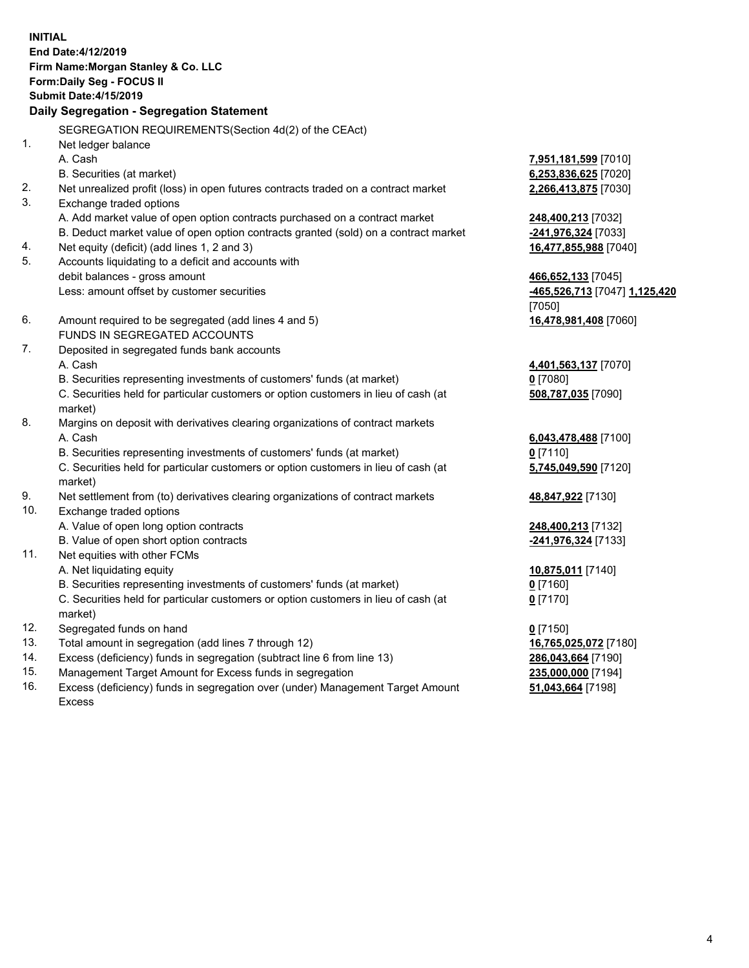**INITIAL End Date:4/12/2019 Firm Name:Morgan Stanley & Co. LLC Form:Daily Seg - FOCUS II Submit Date:4/15/2019 Daily Segregation - Segregation Statement** SEGREGATION REQUIREMENTS(Section 4d(2) of the CEAct) 1. Net ledger balance A. Cash **7,951,181,599** [7010] B. Securities (at market) **6,253,836,625** [7020] 2. Net unrealized profit (loss) in open futures contracts traded on a contract market **2,266,413,875** [7030] 3. Exchange traded options A. Add market value of open option contracts purchased on a contract market **248,400,213** [7032] B. Deduct market value of open option contracts granted (sold) on a contract market **-241,976,324** [7033] 4. Net equity (deficit) (add lines 1, 2 and 3) **16,477,855,988** [7040] 5. Accounts liquidating to a deficit and accounts with debit balances - gross amount **466,652,133** [7045] Less: amount offset by customer securities **-465,526,713** [7047] **1,125,420** [7050] 6. Amount required to be segregated (add lines 4 and 5) **16,478,981,408** [7060] FUNDS IN SEGREGATED ACCOUNTS 7. Deposited in segregated funds bank accounts A. Cash **4,401,563,137** [7070] B. Securities representing investments of customers' funds (at market) **0** [7080] C. Securities held for particular customers or option customers in lieu of cash (at market) **508,787,035** [7090] 8. Margins on deposit with derivatives clearing organizations of contract markets A. Cash **6,043,478,488** [7100] B. Securities representing investments of customers' funds (at market) **0** [7110] C. Securities held for particular customers or option customers in lieu of cash (at market) **5,745,049,590** [7120] 9. Net settlement from (to) derivatives clearing organizations of contract markets **48,847,922** [7130] 10. Exchange traded options A. Value of open long option contracts **248,400,213** [7132] B. Value of open short option contracts **-241,976,324** [7133] 11. Net equities with other FCMs A. Net liquidating equity **10,875,011** [7140] B. Securities representing investments of customers' funds (at market) **0** [7160] C. Securities held for particular customers or option customers in lieu of cash (at market) **0** [7170] 12. Segregated funds on hand **0** [7150] 13. Total amount in segregation (add lines 7 through 12) **16,765,025,072** [7180] 14. Excess (deficiency) funds in segregation (subtract line 6 from line 13) **286,043,664** [7190]

- 15. Management Target Amount for Excess funds in segregation **235,000,000** [7194]
- 16. Excess (deficiency) funds in segregation over (under) Management Target Amount Excess

**51,043,664** [7198]